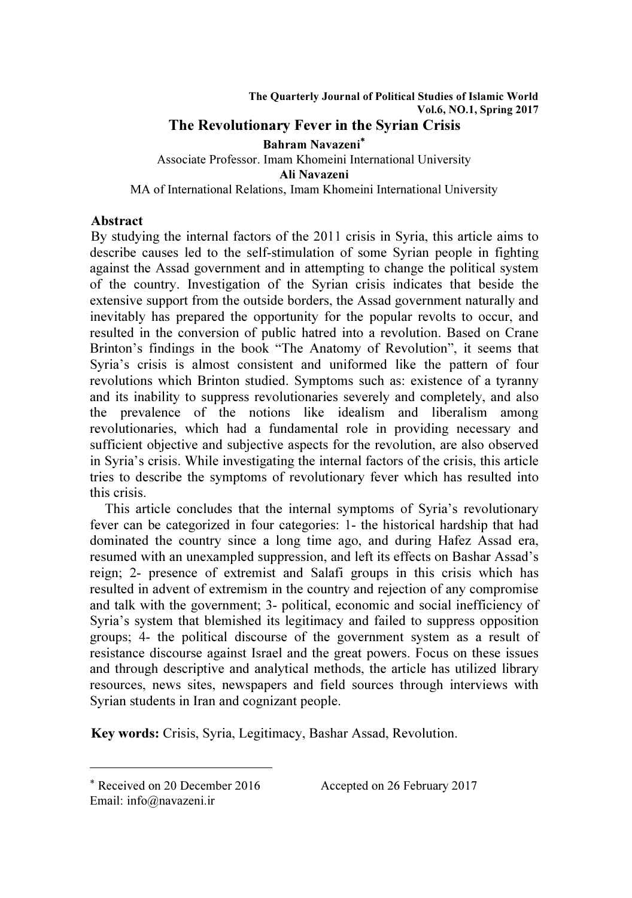#### The Quarterly Journal of Political Studies of Islamic World Vol.6, NO.1, Spring 2017 The Revolutionary Fever in the Syrian Crisis

Bahram Navazeni<sup>∗</sup> Associate Professor. Imam Khomeini International University Ali Navazeni MA of International Relations, Imam Khomeini International University

## Abstract

By studying the internal factors of the 2011 crisis in Syria, this article aims to describe causes led to the self-stimulation of some Syrian people in fighting against the Assad government and in attempting to change the political system of the country. Investigation of the Syrian crisis indicates that beside the extensive support from the outside borders, the Assad government naturally and inevitably has prepared the opportunity for the popular revolts to occur, and resulted in the conversion of public hatred into a revolution. Based on Crane Brinton's findings in the book "The Anatomy of Revolution", it seems that Syria's crisis is almost consistent and uniformed like the pattern of four revolutions which Brinton studied. Symptoms such as: existence of a tyranny and its inability to suppress revolutionaries severely and completely, and also the prevalence of the notions like idealism and liberalism among revolutionaries, which had a fundamental role in providing necessary and sufficient objective and subjective aspects for the revolution, are also observed in Syria's crisis. While investigating the internal factors of the crisis, this article tries to describe the symptoms of revolutionary fever which has resulted into this crisis.

 This article concludes that the internal symptoms of Syria's revolutionary fever can be categorized in four categories: 1- the historical hardship that had dominated the country since a long time ago, and during Hafez Assad era, resumed with an unexampled suppression, and left its effects on Bashar Assad's reign; 2- presence of extremist and Salafi groups in this crisis which has resulted in advent of extremism in the country and rejection of any compromise and talk with the government; 3- political, economic and social inefficiency of Syria's system that blemished its legitimacy and failed to suppress opposition groups; 4- the political discourse of the government system as a result of resistance discourse against Israel and the great powers. Focus on these issues and through descriptive and analytical methods, the article has utilized library resources, news sites, newspapers and field sources through interviews with Syrian students in Iran and cognizant people.

Key words: Crisis, Syria, Legitimacy, Bashar Assad, Revolution.

 $\overline{a}$ 

Accepted on 26 February 2017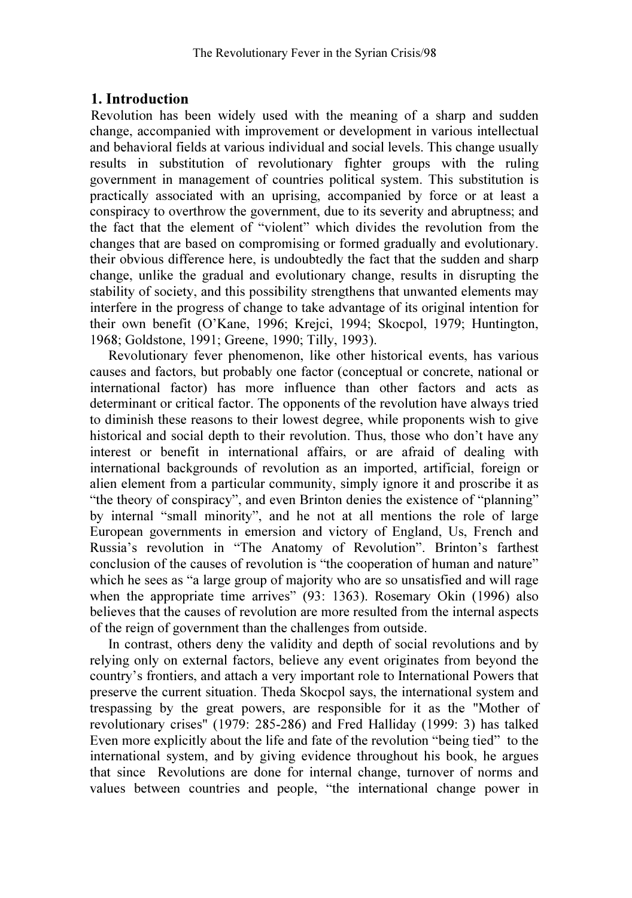## 1. Introduction

Revolution has been widely used with the meaning of a sharp and sudden change, accompanied with improvement or development in various intellectual and behavioral fields at various individual and social levels. This change usually results in substitution of revolutionary fighter groups with the ruling government in management of countries political system. This substitution is practically associated with an uprising, accompanied by force or at least a conspiracy to overthrow the government, due to its severity and abruptness; and the fact that the element of "violent" which divides the revolution from the changes that are based on compromising or formed gradually and evolutionary. their obvious difference here, is undoubtedly the fact that the sudden and sharp change, unlike the gradual and evolutionary change, results in disrupting the stability of society, and this possibility strengthens that unwanted elements may interfere in the progress of change to take advantage of its original intention for their own benefit (O'Kane, 1996; Krejci, 1994; Skocpol, 1979; Huntington, 1968; Goldstone, 1991; Greene, 1990; Tilly, 1993).

 Revolutionary fever phenomenon, like other historical events, has various causes and factors, but probably one factor (conceptual or concrete, national or international factor) has more influence than other factors and acts as determinant or critical factor. The opponents of the revolution have always tried to diminish these reasons to their lowest degree, while proponents wish to give historical and social depth to their revolution. Thus, those who don't have any interest or benefit in international affairs, or are afraid of dealing with international backgrounds of revolution as an imported, artificial, foreign or alien element from a particular community, simply ignore it and proscribe it as "the theory of conspiracy", and even Brinton denies the existence of "planning" by internal "small minority", and he not at all mentions the role of large European governments in emersion and victory of England, Us, French and Russia's revolution in "The Anatomy of Revolution". Brinton's farthest conclusion of the causes of revolution is "the cooperation of human and nature" which he sees as "a large group of majority who are so unsatisfied and will rage when the appropriate time arrives" (93: 1363). Rosemary Okin (1996) also believes that the causes of revolution are more resulted from the internal aspects of the reign of government than the challenges from outside.

 In contrast, others deny the validity and depth of social revolutions and by relying only on external factors, believe any event originates from beyond the country's frontiers, and attach a very important role to International Powers that preserve the current situation. Theda Skocpol says, the international system and trespassing by the great powers, are responsible for it as the "Mother of revolutionary crises" (1979: 285-286) and Fred Halliday (1999: 3) has talked Even more explicitly about the life and fate of the revolution "being tied" to the international system, and by giving evidence throughout his book, he argues that since Revolutions are done for internal change, turnover of norms and values between countries and people, "the international change power in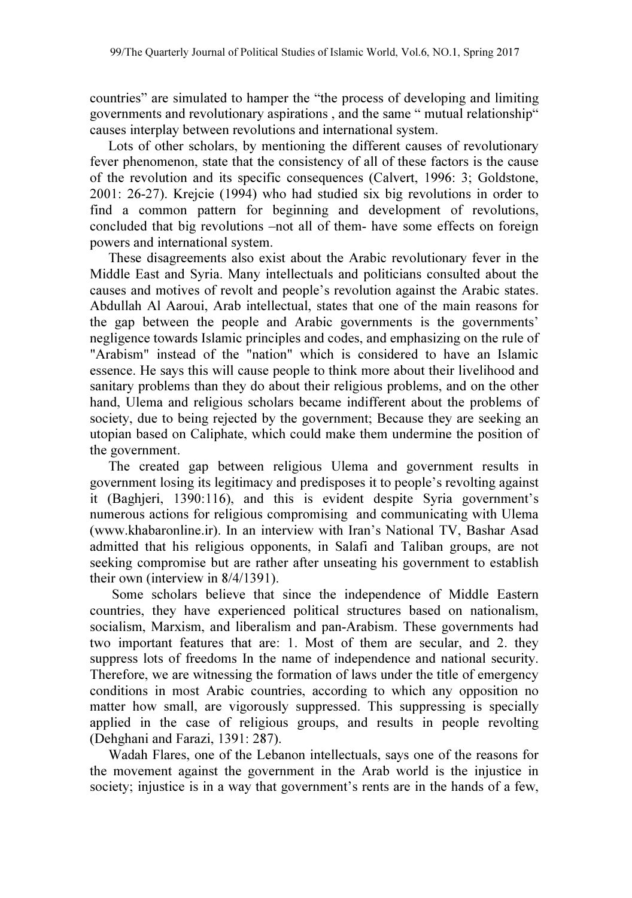countries" are simulated to hamper the "the process of developing and limiting governments and revolutionary aspirations , and the same " mutual relationship" causes interplay between revolutions and international system.

 Lots of other scholars, by mentioning the different causes of revolutionary fever phenomenon, state that the consistency of all of these factors is the cause of the revolution and its specific consequences (Calvert, 1996: 3; Goldstone, 2001: 26-27). Krejcie (1994) who had studied six big revolutions in order to find a common pattern for beginning and development of revolutions, concluded that big revolutions –not all of them- have some effects on foreign powers and international system.

 These disagreements also exist about the Arabic revolutionary fever in the Middle East and Syria. Many intellectuals and politicians consulted about the causes and motives of revolt and people's revolution against the Arabic states. Abdullah Al Aaroui, Arab intellectual, states that one of the main reasons for the gap between the people and Arabic governments is the governments' negligence towards Islamic principles and codes, and emphasizing on the rule of "Arabism" instead of the "nation" which is considered to have an Islamic essence. He says this will cause people to think more about their livelihood and sanitary problems than they do about their religious problems, and on the other hand, Ulema and religious scholars became indifferent about the problems of society, due to being rejected by the government; Because they are seeking an utopian based on Caliphate, which could make them undermine the position of the government.

 The created gap between religious Ulema and government results in government losing its legitimacy and predisposes it to people's revolting against it (Baghjeri, 1390:116), and this is evident despite Syria government's numerous actions for religious compromising and communicating with Ulema (www.khabaronline.ir). In an interview with Iran's National TV, Bashar Asad admitted that his religious opponents, in Salafi and Taliban groups, are not seeking compromise but are rather after unseating his government to establish their own (interview in 8/4/1391).

 Some scholars believe that since the independence of Middle Eastern countries, they have experienced political structures based on nationalism, socialism, Marxism, and liberalism and pan-Arabism. These governments had two important features that are: 1. Most of them are secular, and 2. they suppress lots of freedoms In the name of independence and national security. Therefore, we are witnessing the formation of laws under the title of emergency conditions in most Arabic countries, according to which any opposition no matter how small, are vigorously suppressed. This suppressing is specially applied in the case of religious groups, and results in people revolting (Dehghani and Farazi, 1391: 287).

 Wadah Flares, one of the Lebanon intellectuals, says one of the reasons for the movement against the government in the Arab world is the injustice in society; injustice is in a way that government's rents are in the hands of a few,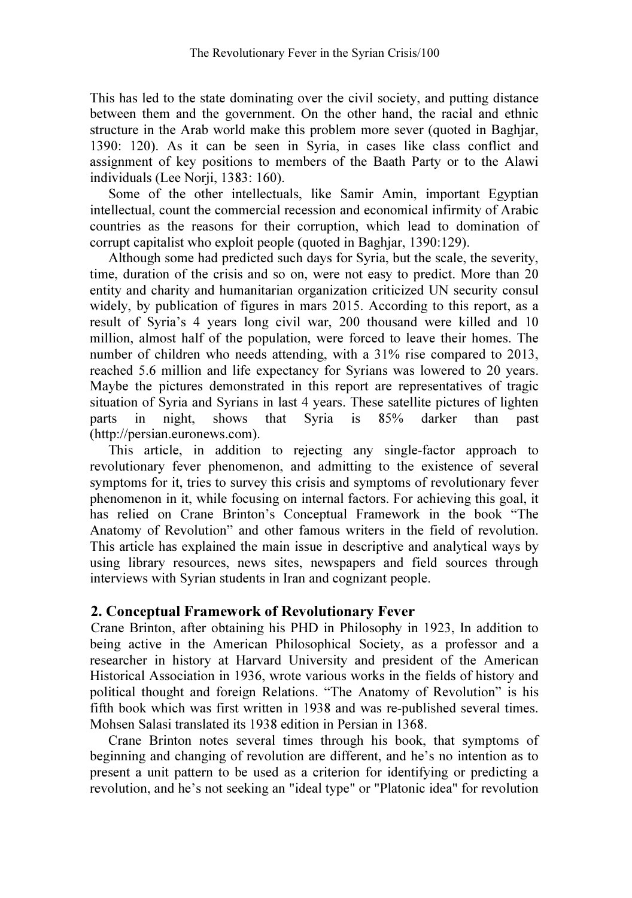This has led to the state dominating over the civil society, and putting distance between them and the government. On the other hand, the racial and ethnic structure in the Arab world make this problem more sever (quoted in Baghjar, 1390: 120). As it can be seen in Syria, in cases like class conflict and assignment of key positions to members of the Baath Party or to the Alawi individuals (Lee Norji, 1383: 160).

 Some of the other intellectuals, like Samir Amin, important Egyptian intellectual, count the commercial recession and economical infirmity of Arabic countries as the reasons for their corruption, which lead to domination of corrupt capitalist who exploit people (quoted in Baghjar, 1390:129).

 Although some had predicted such days for Syria, but the scale, the severity, time, duration of the crisis and so on, were not easy to predict. More than 20 entity and charity and humanitarian organization criticized UN security consul widely, by publication of figures in mars 2015. According to this report, as a result of Syria's 4 years long civil war, 200 thousand were killed and 10 million, almost half of the population, were forced to leave their homes. The number of children who needs attending, with a 31% rise compared to 2013, reached 5.6 million and life expectancy for Syrians was lowered to 20 years. Maybe the pictures demonstrated in this report are representatives of tragic situation of Syria and Syrians in last 4 years. These satellite pictures of lighten parts in night, shows that Syria is 85% darker than past (http://persian.euronews.com).

 This article, in addition to rejecting any single-factor approach to revolutionary fever phenomenon, and admitting to the existence of several symptoms for it, tries to survey this crisis and symptoms of revolutionary fever phenomenon in it, while focusing on internal factors. For achieving this goal, it has relied on Crane Brinton's Conceptual Framework in the book "The Anatomy of Revolution" and other famous writers in the field of revolution. This article has explained the main issue in descriptive and analytical ways by using library resources, news sites, newspapers and field sources through interviews with Syrian students in Iran and cognizant people.

### 2. Conceptual Framework of Revolutionary Fever

Crane Brinton, after obtaining his PHD in Philosophy in 1923, In addition to being active in the American Philosophical Society, as a professor and a researcher in history at Harvard University and president of the American Historical Association in 1936, wrote various works in the fields of history and political thought and foreign Relations. "The Anatomy of Revolution" is his fifth book which was first written in 1938 and was re-published several times. Mohsen Salasi translated its 1938 edition in Persian in 1368.

 Crane Brinton notes several times through his book, that symptoms of beginning and changing of revolution are different, and he's no intention as to present a unit pattern to be used as a criterion for identifying or predicting a revolution, and he's not seeking an "ideal type" or "Platonic idea" for revolution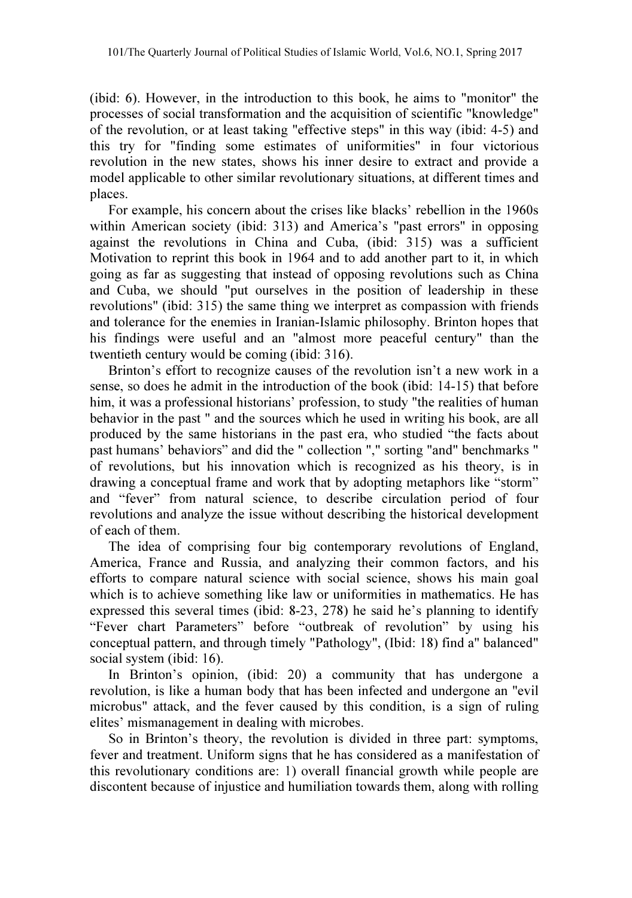(ibid: 6). However, in the introduction to this book, he aims to "monitor" the processes of social transformation and the acquisition of scientific "knowledge" of the revolution, or at least taking "effective steps" in this way (ibid: 4-5) and this try for "finding some estimates of uniformities" in four victorious revolution in the new states, shows his inner desire to extract and provide a model applicable to other similar revolutionary situations, at different times and places.

 For example, his concern about the crises like blacks' rebellion in the 1960s within American society (ibid: 313) and America's "past errors" in opposing against the revolutions in China and Cuba, (ibid: 315) was a sufficient Motivation to reprint this book in 1964 and to add another part to it, in which going as far as suggesting that instead of opposing revolutions such as China and Cuba, we should "put ourselves in the position of leadership in these revolutions" (ibid: 315) the same thing we interpret as compassion with friends and tolerance for the enemies in Iranian-Islamic philosophy. Brinton hopes that his findings were useful and an "almost more peaceful century" than the twentieth century would be coming (ibid: 316).

 Brinton's effort to recognize causes of the revolution isn't a new work in a sense, so does he admit in the introduction of the book (ibid: 14-15) that before him, it was a professional historians' profession, to study "the realities of human behavior in the past " and the sources which he used in writing his book, are all produced by the same historians in the past era, who studied "the facts about past humans' behaviors" and did the " collection "," sorting "and" benchmarks " of revolutions, but his innovation which is recognized as his theory, is in drawing a conceptual frame and work that by adopting metaphors like "storm" and "fever" from natural science, to describe circulation period of four revolutions and analyze the issue without describing the historical development of each of them.

 The idea of comprising four big contemporary revolutions of England, America, France and Russia, and analyzing their common factors, and his efforts to compare natural science with social science, shows his main goal which is to achieve something like law or uniformities in mathematics. He has expressed this several times (ibid: 8-23, 278) he said he's planning to identify "Fever chart Parameters" before "outbreak of revolution" by using his conceptual pattern, and through timely "Pathology", (Ibid: 18) find a" balanced" social system (ibid: 16).

 In Brinton's opinion, (ibid: 20) a community that has undergone a revolution, is like a human body that has been infected and undergone an "evil microbus" attack, and the fever caused by this condition, is a sign of ruling elites' mismanagement in dealing with microbes.

 So in Brinton's theory, the revolution is divided in three part: symptoms, fever and treatment. Uniform signs that he has considered as a manifestation of this revolutionary conditions are: 1) overall financial growth while people are discontent because of injustice and humiliation towards them, along with rolling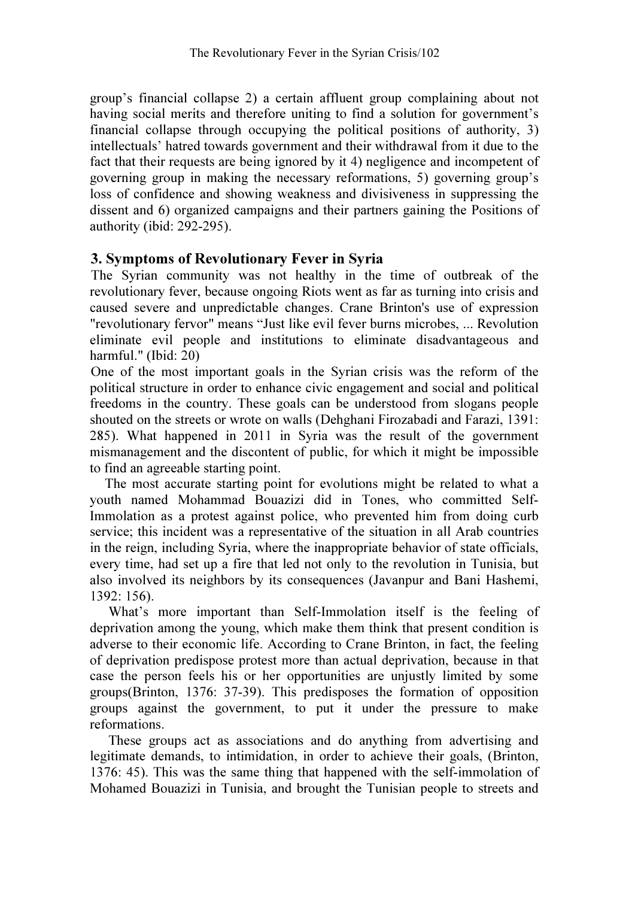group's financial collapse 2) a certain affluent group complaining about not having social merits and therefore uniting to find a solution for government's financial collapse through occupying the political positions of authority, 3) intellectuals' hatred towards government and their withdrawal from it due to the fact that their requests are being ignored by it 4) negligence and incompetent of governing group in making the necessary reformations, 5) governing group's loss of confidence and showing weakness and divisiveness in suppressing the dissent and 6) organized campaigns and their partners gaining the Positions of authority (ibid: 292-295).

## 3. Symptoms of Revolutionary Fever in Syria

The Syrian community was not healthy in the time of outbreak of the revolutionary fever, because ongoing Riots went as far as turning into crisis and caused severe and unpredictable changes. Crane Brinton's use of expression "revolutionary fervor" means "Just like evil fever burns microbes, ... Revolution eliminate evil people and institutions to eliminate disadvantageous and harmful." (Ibid: 20)

One of the most important goals in the Syrian crisis was the reform of the political structure in order to enhance civic engagement and social and political freedoms in the country. These goals can be understood from slogans people shouted on the streets or wrote on walls (Dehghani Firozabadi and Farazi, 1391: 285). What happened in 2011 in Syria was the result of the government mismanagement and the discontent of public, for which it might be impossible to find an agreeable starting point.

 The most accurate starting point for evolutions might be related to what a youth named Mohammad Bouazizi did in Tones, who committed Self-Immolation as a protest against police, who prevented him from doing curb service; this incident was a representative of the situation in all Arab countries in the reign, including Syria, where the inappropriate behavior of state officials, every time, had set up a fire that led not only to the revolution in Tunisia, but also involved its neighbors by its consequences (Javanpur and Bani Hashemi, 1392: 156).

 What's more important than Self-Immolation itself is the feeling of deprivation among the young, which make them think that present condition is adverse to their economic life. According to Crane Brinton, in fact, the feeling of deprivation predispose protest more than actual deprivation, because in that case the person feels his or her opportunities are unjustly limited by some groups(Brinton, 1376: 37-39). This predisposes the formation of opposition groups against the government, to put it under the pressure to make reformations.

 These groups act as associations and do anything from advertising and legitimate demands, to intimidation, in order to achieve their goals, (Brinton, 1376: 45). This was the same thing that happened with the self-immolation of Mohamed Bouazizi in Tunisia, and brought the Tunisian people to streets and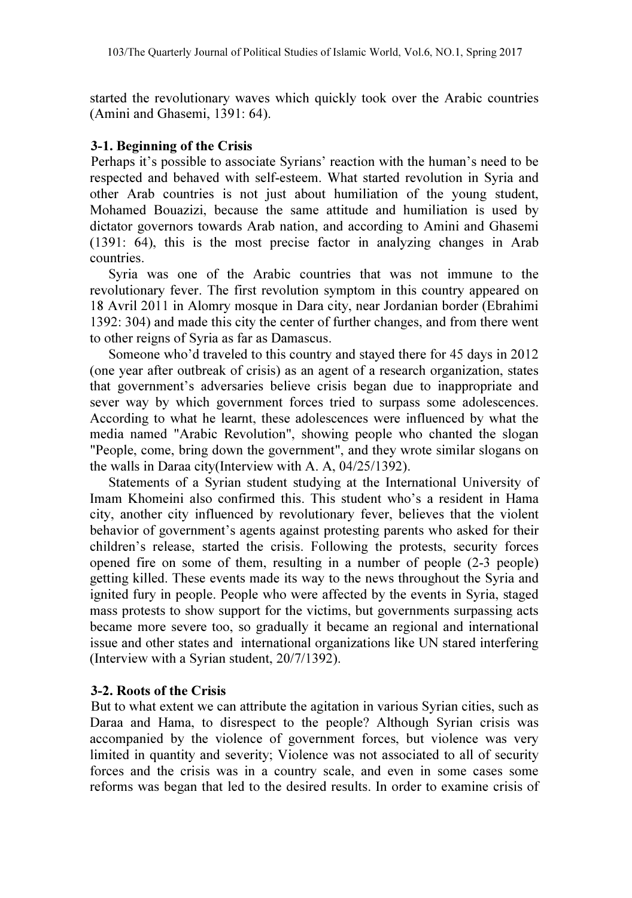started the revolutionary waves which quickly took over the Arabic countries (Amini and Ghasemi, 1391: 64).

#### 3-1. Beginning of the Crisis

Perhaps it's possible to associate Syrians' reaction with the human's need to be respected and behaved with self-esteem. What started revolution in Syria and other Arab countries is not just about humiliation of the young student, Mohamed Bouazizi, because the same attitude and humiliation is used by dictator governors towards Arab nation, and according to Amini and Ghasemi (1391: 64), this is the most precise factor in analyzing changes in Arab countries.

 Syria was one of the Arabic countries that was not immune to the revolutionary fever. The first revolution symptom in this country appeared on 18 Avril 2011 in Alomry mosque in Dara city, near Jordanian border (Ebrahimi 1392: 304) and made this city the center of further changes, and from there went to other reigns of Syria as far as Damascus.

 Someone who'd traveled to this country and stayed there for 45 days in 2012 (one year after outbreak of crisis) as an agent of a research organization, states that government's adversaries believe crisis began due to inappropriate and sever way by which government forces tried to surpass some adolescences. According to what he learnt, these adolescences were influenced by what the media named "Arabic Revolution", showing people who chanted the slogan "People, come, bring down the government", and they wrote similar slogans on the walls in Daraa city(Interview with A. A, 04/25/1392).

 Statements of a Syrian student studying at the International University of Imam Khomeini also confirmed this. This student who's a resident in Hama city, another city influenced by revolutionary fever, believes that the violent behavior of government's agents against protesting parents who asked for their children's release, started the crisis. Following the protests, security forces opened fire on some of them, resulting in a number of people (2-3 people) getting killed. These events made its way to the news throughout the Syria and ignited fury in people. People who were affected by the events in Syria, staged mass protests to show support for the victims, but governments surpassing acts became more severe too, so gradually it became an regional and international issue and other states and international organizations like UN stared interfering (Interview with a Syrian student, 20/7/1392).

### 3-2. Roots of the Crisis

But to what extent we can attribute the agitation in various Syrian cities, such as Daraa and Hama, to disrespect to the people? Although Syrian crisis was accompanied by the violence of government forces, but violence was very limited in quantity and severity; Violence was not associated to all of security forces and the crisis was in a country scale, and even in some cases some reforms was began that led to the desired results. In order to examine crisis of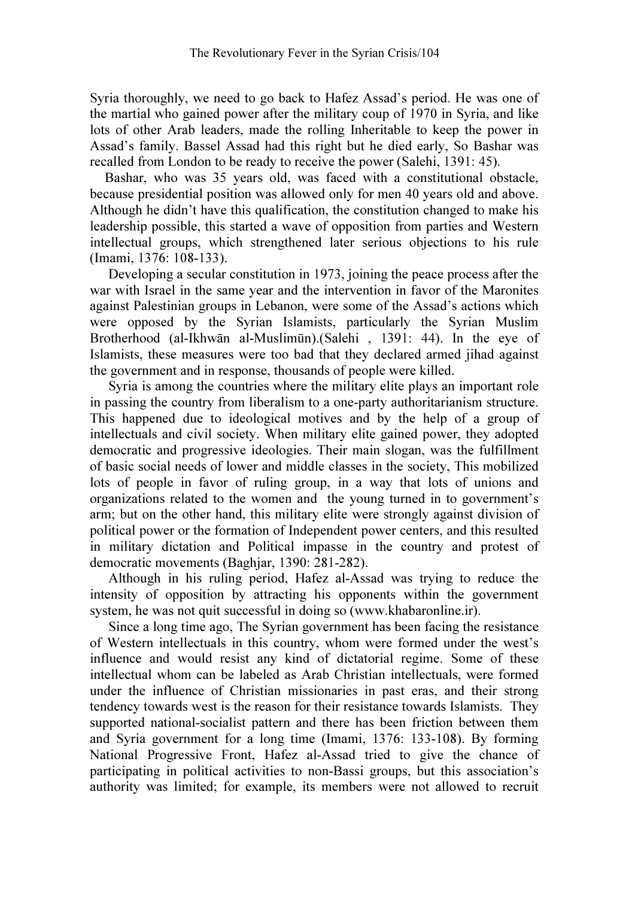Syria thoroughly, we need to go back to Hafez Assad's period. He was one of the martial who gained power after the military coup of 1970 in Syria, and like lots of other Arab leaders, made the rolling Inheritable to keep the power in Assad's family. Bassel Assad had this right but he died early, So Bashar was recalled from London to be ready to receive the power (Salehi, 1391: 45).

 Bashar, who was 35 years old, was faced with a constitutional obstacle, because presidential position was allowed only for men 40 years old and above. Although he didn't have this qualification, the constitution changed to make his leadership possible, this started a wave of opposition from parties and Western intellectual groups, which strengthened later serious objections to his rule (Imami, 1376: 108-133).

Developing a secular constitution in 1973, joining the peace process after the war with Israel in the same year and the intervention in favor of the Maronites against Palestinian groups in Lebanon, were some of the Assad's actions which were opposed by the Syrian Islamists, particularly the Syrian Muslim Brotherhood (al-Ikhwān al-Muslimūn).(Salehi , 1391: 44). In the eve of Islamists, these measures were too bad that they declared armed jihad against the government and in response, thousands of people were killed.

 Syria is among the countries where the military elite plays an important role in passing the country from liberalism to a one-party authoritarianism structure. This happened due to ideological motives and by the help of a group of intellectuals and civil society. When military elite gained power, they adopted democratic and progressive ideologies. Their main slogan, was the fulfillment of basic social needs of lower and middle classes in the society, This mobilized lots of people in favor of ruling group, in a way that lots of unions and organizations related to the women and the young turned in to government's arm; but on the other hand, this military elite were strongly against division of political power or the formation of Independent power centers, and this resulted in military dictation and Political impasse in the country and protest of democratic movements (Baghjar, 1390: 281-282).

 Although in his ruling period, Hafez al-Assad was trying to reduce the intensity of opposition by attracting his opponents within the government system, he was not quit successful in doing so (www.khabaronline.ir).

 Since a long time ago, The Syrian government has been facing the resistance of Western intellectuals in this country, whom were formed under the west's influence and would resist any kind of dictatorial regime. Some of these intellectual whom can be labeled as Arab Christian intellectuals, were formed under the influence of Christian missionaries in past eras, and their strong tendency towards west is the reason for their resistance towards Islamists. They supported national-socialist pattern and there has been friction between them and Syria government for a long time (Imami, 1376: 133-108). By forming National Progressive Front, Hafez al-Assad tried to give the chance of participating in political activities to non-Bassi groups, but this association's authority was limited; for example, its members were not allowed to recruit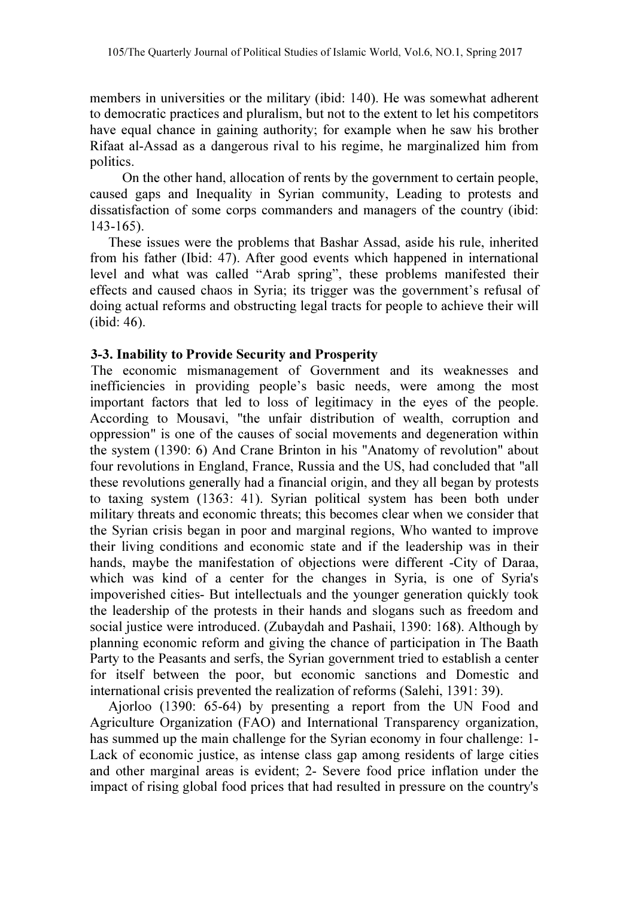members in universities or the military (ibid: 140). He was somewhat adherent to democratic practices and pluralism, but not to the extent to let his competitors have equal chance in gaining authority; for example when he saw his brother Rifaat al-Assad as a dangerous rival to his regime, he marginalized him from politics.

 On the other hand, allocation of rents by the government to certain people, caused gaps and Inequality in Syrian community, Leading to protests and dissatisfaction of some corps commanders and managers of the country (ibid: 143-165).

 These issues were the problems that Bashar Assad, aside his rule, inherited from his father (Ibid: 47). After good events which happened in international level and what was called "Arab spring", these problems manifested their effects and caused chaos in Syria; its trigger was the government's refusal of doing actual reforms and obstructing legal tracts for people to achieve their will (ibid: 46).

#### 3-3. Inability to Provide Security and Prosperity

The economic mismanagement of Government and its weaknesses and inefficiencies in providing people's basic needs, were among the most important factors that led to loss of legitimacy in the eyes of the people. According to Mousavi, "the unfair distribution of wealth, corruption and oppression" is one of the causes of social movements and degeneration within the system (1390: 6) And Crane Brinton in his "Anatomy of revolution" about four revolutions in England, France, Russia and the US, had concluded that "all these revolutions generally had a financial origin, and they all began by protests to taxing system (1363: 41). Syrian political system has been both under military threats and economic threats; this becomes clear when we consider that the Syrian crisis began in poor and marginal regions, Who wanted to improve their living conditions and economic state and if the leadership was in their hands, maybe the manifestation of objections were different -City of Daraa, which was kind of a center for the changes in Syria, is one of Syria's impoverished cities- But intellectuals and the younger generation quickly took the leadership of the protests in their hands and slogans such as freedom and social justice were introduced. (Zubaydah and Pashaii, 1390: 168). Although by planning economic reform and giving the chance of participation in The Baath Party to the Peasants and serfs, the Syrian government tried to establish a center for itself between the poor, but economic sanctions and Domestic and international crisis prevented the realization of reforms (Salehi, 1391: 39).

 Ajorloo (1390: 65-64) by presenting a report from the UN Food and Agriculture Organization (FAO) and International Transparency organization, has summed up the main challenge for the Syrian economy in four challenge: 1- Lack of economic justice, as intense class gap among residents of large cities and other marginal areas is evident; 2- Severe food price inflation under the impact of rising global food prices that had resulted in pressure on the country's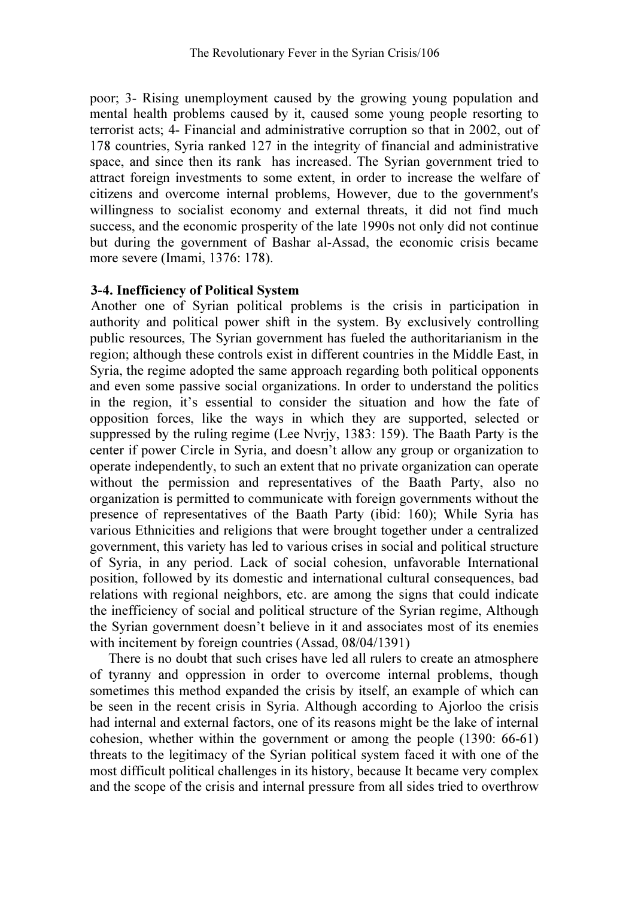poor; 3- Rising unemployment caused by the growing young population and mental health problems caused by it, caused some young people resorting to terrorist acts; 4- Financial and administrative corruption so that in 2002, out of 178 countries, Syria ranked 127 in the integrity of financial and administrative space, and since then its rank has increased. The Syrian government tried to attract foreign investments to some extent, in order to increase the welfare of citizens and overcome internal problems, However, due to the government's willingness to socialist economy and external threats, it did not find much success, and the economic prosperity of the late 1990s not only did not continue but during the government of Bashar al-Assad, the economic crisis became more severe (Imami, 1376: 178).

### 3-4. Inefficiency of Political System

Another one of Syrian political problems is the crisis in participation in authority and political power shift in the system. By exclusively controlling public resources, The Syrian government has fueled the authoritarianism in the region; although these controls exist in different countries in the Middle East, in Syria, the regime adopted the same approach regarding both political opponents and even some passive social organizations. In order to understand the politics in the region, it's essential to consider the situation and how the fate of opposition forces, like the ways in which they are supported, selected or suppressed by the ruling regime (Lee Nvrjy, 1383: 159). The Baath Party is the center if power Circle in Syria, and doesn't allow any group or organization to operate independently, to such an extent that no private organization can operate without the permission and representatives of the Baath Party, also no organization is permitted to communicate with foreign governments without the presence of representatives of the Baath Party (ibid: 160); While Syria has various Ethnicities and religions that were brought together under a centralized government, this variety has led to various crises in social and political structure of Syria, in any period. Lack of social cohesion, unfavorable International position, followed by its domestic and international cultural consequences, bad relations with regional neighbors, etc. are among the signs that could indicate the inefficiency of social and political structure of the Syrian regime, Although the Syrian government doesn't believe in it and associates most of its enemies with incitement by foreign countries (Assad, 08/04/1391)

 There is no doubt that such crises have led all rulers to create an atmosphere of tyranny and oppression in order to overcome internal problems, though sometimes this method expanded the crisis by itself, an example of which can be seen in the recent crisis in Syria. Although according to Ajorloo the crisis had internal and external factors, one of its reasons might be the lake of internal cohesion, whether within the government or among the people (1390: 66-61) threats to the legitimacy of the Syrian political system faced it with one of the most difficult political challenges in its history, because It became very complex and the scope of the crisis and internal pressure from all sides tried to overthrow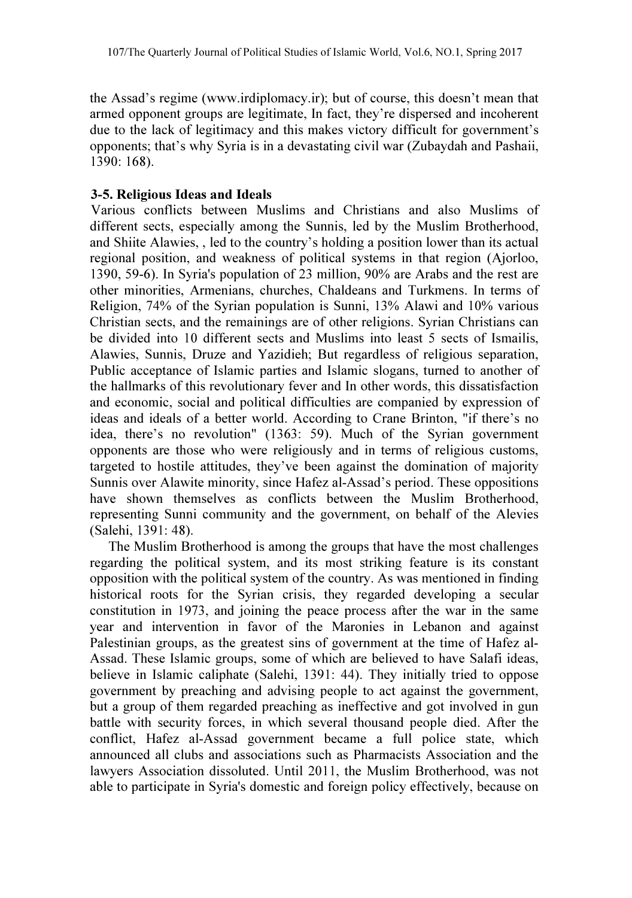the Assad's regime (www.irdiplomacy.ir); but of course, this doesn't mean that armed opponent groups are legitimate, In fact, they're dispersed and incoherent due to the lack of legitimacy and this makes victory difficult for government's opponents; that's why Syria is in a devastating civil war (Zubaydah and Pashaii, 1390: 168).

## 3-5. Religious Ideas and Ideals

Various conflicts between Muslims and Christians and also Muslims of different sects, especially among the Sunnis, led by the Muslim Brotherhood, and Shiite Alawies, , led to the country's holding a position lower than its actual regional position, and weakness of political systems in that region (Ajorloo, 1390, 59-6). In Syria's population of 23 million, 90% are Arabs and the rest are other minorities, Armenians, churches, Chaldeans and Turkmens. In terms of Religion, 74% of the Syrian population is Sunni, 13% Alawi and 10% various Christian sects, and the remainings are of other religions. Syrian Christians can be divided into 10 different sects and Muslims into least 5 sects of Ismailis, Alawies, Sunnis, Druze and Yazidieh; But regardless of religious separation, Public acceptance of Islamic parties and Islamic slogans, turned to another of the hallmarks of this revolutionary fever and In other words, this dissatisfaction and economic, social and political difficulties are companied by expression of ideas and ideals of a better world. According to Crane Brinton, "if there's no idea, there's no revolution" (1363: 59). Much of the Syrian government opponents are those who were religiously and in terms of religious customs, targeted to hostile attitudes, they've been against the domination of majority Sunnis over Alawite minority, since Hafez al-Assad's period. These oppositions have shown themselves as conflicts between the Muslim Brotherhood, representing Sunni community and the government, on behalf of the Alevies (Salehi, 1391: 48).

 The Muslim Brotherhood is among the groups that have the most challenges regarding the political system, and its most striking feature is its constant opposition with the political system of the country. As was mentioned in finding historical roots for the Syrian crisis, they regarded developing a secular constitution in 1973, and joining the peace process after the war in the same year and intervention in favor of the Maronies in Lebanon and against Palestinian groups, as the greatest sins of government at the time of Hafez al-Assad. These Islamic groups, some of which are believed to have Salafi ideas, believe in Islamic caliphate (Salehi, 1391: 44). They initially tried to oppose government by preaching and advising people to act against the government, but a group of them regarded preaching as ineffective and got involved in gun battle with security forces, in which several thousand people died. After the conflict, Hafez al-Assad government became a full police state, which announced all clubs and associations such as Pharmacists Association and the lawyers Association dissoluted. Until 2011, the Muslim Brotherhood, was not able to participate in Syria's domestic and foreign policy effectively, because on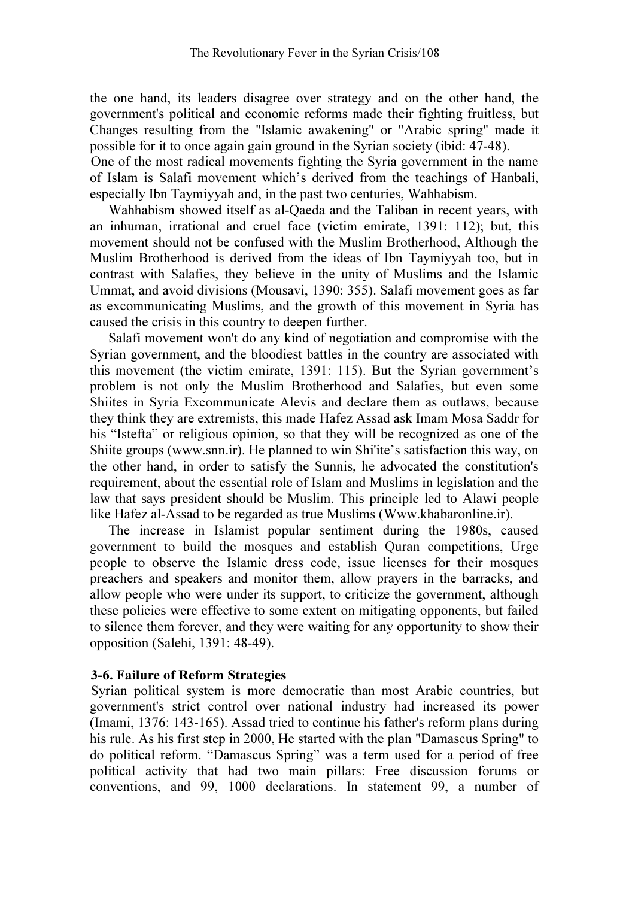the one hand, its leaders disagree over strategy and on the other hand, the government's political and economic reforms made their fighting fruitless, but Changes resulting from the "Islamic awakening" or "Arabic spring" made it possible for it to once again gain ground in the Syrian society (ibid: 47-48).

One of the most radical movements fighting the Syria government in the name of Islam is Salafi movement which's derived from the teachings of Hanbali, especially Ibn Taymiyyah and, in the past two centuries, Wahhabism.

 Wahhabism showed itself as al-Qaeda and the Taliban in recent years, with an inhuman, irrational and cruel face (victim emirate, 1391: 112); but, this movement should not be confused with the Muslim Brotherhood, Although the Muslim Brotherhood is derived from the ideas of Ibn Taymiyyah too, but in contrast with Salafies, they believe in the unity of Muslims and the Islamic Ummat, and avoid divisions (Mousavi, 1390: 355). Salafi movement goes as far as excommunicating Muslims, and the growth of this movement in Syria has caused the crisis in this country to deepen further.

 Salafi movement won't do any kind of negotiation and compromise with the Syrian government, and the bloodiest battles in the country are associated with this movement (the victim emirate, 1391: 115). But the Syrian government's problem is not only the Muslim Brotherhood and Salafies, but even some Shiites in Syria Excommunicate Alevis and declare them as outlaws, because they think they are extremists, this made Hafez Assad ask Imam Mosa Saddr for his "Istefta" or religious opinion, so that they will be recognized as one of the Shiite groups (www.snn.ir). He planned to win Shi'ite's satisfaction this way, on the other hand, in order to satisfy the Sunnis, he advocated the constitution's requirement, about the essential role of Islam and Muslims in legislation and the law that says president should be Muslim. This principle led to Alawi people like Hafez al-Assad to be regarded as true Muslims (Www.khabaronline.ir).

 The increase in Islamist popular sentiment during the 1980s, caused government to build the mosques and establish Quran competitions, Urge people to observe the Islamic dress code, issue licenses for their mosques preachers and speakers and monitor them, allow prayers in the barracks, and allow people who were under its support, to criticize the government, although these policies were effective to some extent on mitigating opponents, but failed to silence them forever, and they were waiting for any opportunity to show their opposition (Salehi, 1391: 48-49).

#### 3-6. Failure of Reform Strategies

Syrian political system is more democratic than most Arabic countries, but government's strict control over national industry had increased its power (Imami, 1376: 143-165). Assad tried to continue his father's reform plans during his rule. As his first step in 2000, He started with the plan "Damascus Spring" to do political reform. "Damascus Spring" was a term used for a period of free political activity that had two main pillars: Free discussion forums or conventions, and 99, 1000 declarations. In statement 99, a number of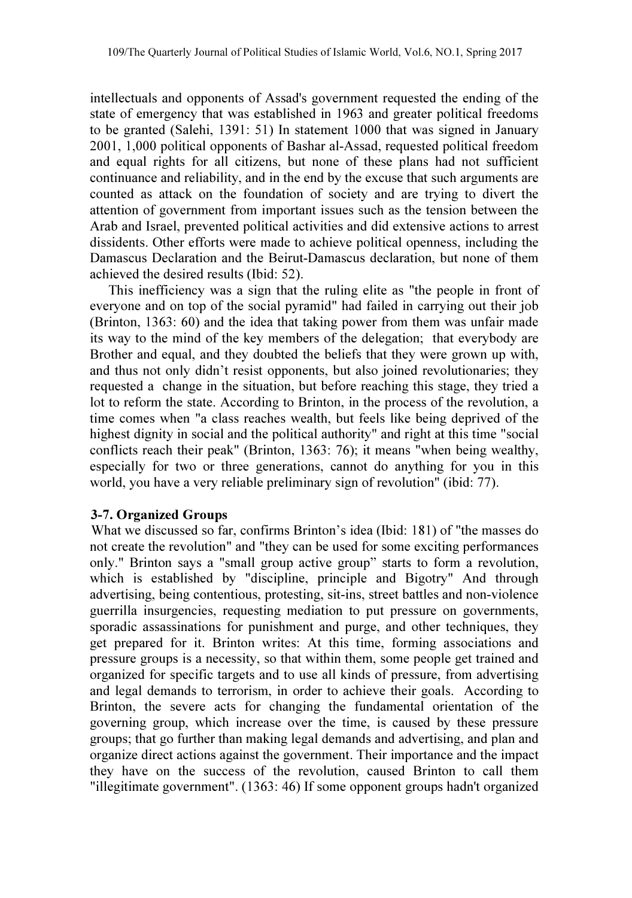intellectuals and opponents of Assad's government requested the ending of the state of emergency that was established in 1963 and greater political freedoms to be granted (Salehi, 1391: 51) In statement 1000 that was signed in January 2001, 1,000 political opponents of Bashar al-Assad, requested political freedom and equal rights for all citizens, but none of these plans had not sufficient continuance and reliability, and in the end by the excuse that such arguments are counted as attack on the foundation of society and are trying to divert the attention of government from important issues such as the tension between the Arab and Israel, prevented political activities and did extensive actions to arrest dissidents. Other efforts were made to achieve political openness, including the Damascus Declaration and the Beirut-Damascus declaration, but none of them achieved the desired results (Ibid: 52).

 This inefficiency was a sign that the ruling elite as "the people in front of everyone and on top of the social pyramid" had failed in carrying out their job (Brinton, 1363: 60) and the idea that taking power from them was unfair made its way to the mind of the key members of the delegation; that everybody are Brother and equal, and they doubted the beliefs that they were grown up with, and thus not only didn't resist opponents, but also joined revolutionaries; they requested a change in the situation, but before reaching this stage, they tried a lot to reform the state. According to Brinton, in the process of the revolution, a time comes when "a class reaches wealth, but feels like being deprived of the highest dignity in social and the political authority" and right at this time "social conflicts reach their peak" (Brinton, 1363: 76); it means "when being wealthy, especially for two or three generations, cannot do anything for you in this world, you have a very reliable preliminary sign of revolution" (ibid: 77).

#### 3-7. Organized Groups

What we discussed so far, confirms Brinton's idea (Ibid: 181) of "the masses do not create the revolution" and "they can be used for some exciting performances only." Brinton says a "small group active group" starts to form a revolution, which is established by "discipline, principle and Bigotry" And through advertising, being contentious, protesting, sit-ins, street battles and non-violence guerrilla insurgencies, requesting mediation to put pressure on governments, sporadic assassinations for punishment and purge, and other techniques, they get prepared for it. Brinton writes: At this time, forming associations and pressure groups is a necessity, so that within them, some people get trained and organized for specific targets and to use all kinds of pressure, from advertising and legal demands to terrorism, in order to achieve their goals. According to Brinton, the severe acts for changing the fundamental orientation of the governing group, which increase over the time, is caused by these pressure groups; that go further than making legal demands and advertising, and plan and organize direct actions against the government. Their importance and the impact they have on the success of the revolution, caused Brinton to call them "illegitimate government". (1363: 46) If some opponent groups hadn't organized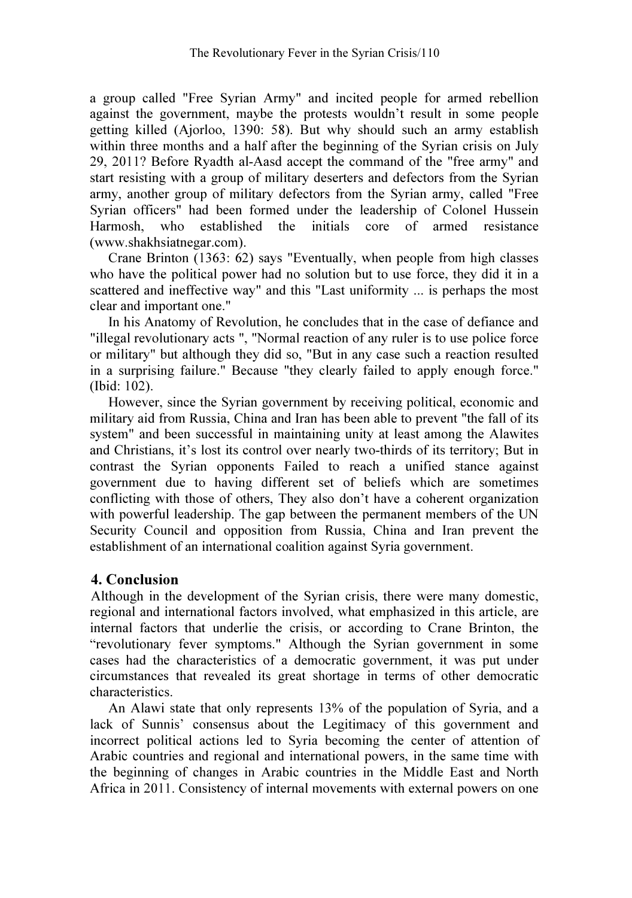a group called "Free Syrian Army" and incited people for armed rebellion against the government, maybe the protests wouldn't result in some people getting killed (Ajorloo, 1390: 58). But why should such an army establish within three months and a half after the beginning of the Syrian crisis on July 29, 2011? Before Ryadth al-Aasd accept the command of the "free army" and start resisting with a group of military deserters and defectors from the Syrian army, another group of military defectors from the Syrian army, called "Free Syrian officers" had been formed under the leadership of Colonel Hussein Harmosh, who established the initials core of armed resistance (www.shakhsiatnegar.com).

 Crane Brinton (1363: 62) says "Eventually, when people from high classes who have the political power had no solution but to use force, they did it in a scattered and ineffective way" and this "Last uniformity ... is perhaps the most clear and important one."

 In his Anatomy of Revolution, he concludes that in the case of defiance and "illegal revolutionary acts ", "Normal reaction of any ruler is to use police force or military" but although they did so, "But in any case such a reaction resulted in a surprising failure." Because "they clearly failed to apply enough force." (Ibid: 102).

 However, since the Syrian government by receiving political, economic and military aid from Russia, China and Iran has been able to prevent "the fall of its system" and been successful in maintaining unity at least among the Alawites and Christians, it's lost its control over nearly two-thirds of its territory; But in contrast the Syrian opponents Failed to reach a unified stance against government due to having different set of beliefs which are sometimes conflicting with those of others, They also don't have a coherent organization with powerful leadership. The gap between the permanent members of the UN Security Council and opposition from Russia, China and Iran prevent the establishment of an international coalition against Syria government.

## 4. Conclusion

Although in the development of the Syrian crisis, there were many domestic, regional and international factors involved, what emphasized in this article, are internal factors that underlie the crisis, or according to Crane Brinton, the "revolutionary fever symptoms." Although the Syrian government in some cases had the characteristics of a democratic government, it was put under circumstances that revealed its great shortage in terms of other democratic characteristics.

 An Alawi state that only represents 13% of the population of Syria, and a lack of Sunnis' consensus about the Legitimacy of this government and incorrect political actions led to Syria becoming the center of attention of Arabic countries and regional and international powers, in the same time with the beginning of changes in Arabic countries in the Middle East and North Africa in 2011. Consistency of internal movements with external powers on one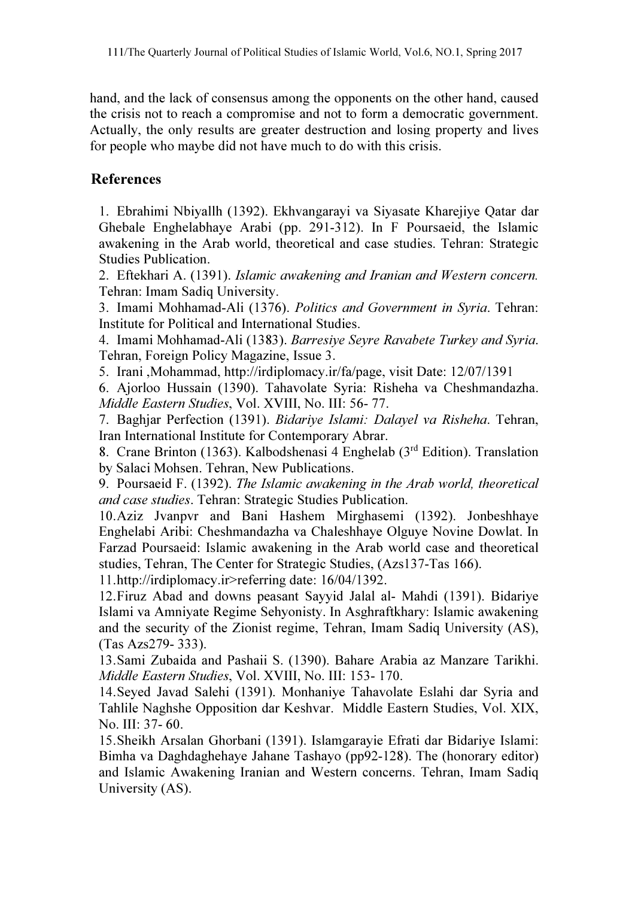hand, and the lack of consensus among the opponents on the other hand, caused the crisis not to reach a compromise and not to form a democratic government. Actually, the only results are greater destruction and losing property and lives for people who maybe did not have much to do with this crisis.

# References

1. Ebrahimi Nbiyallh (1392). Ekhvangarayi va Siyasate Kharejiye Qatar dar Ghebale Enghelabhaye Arabi (pp. 291-312). In F Poursaeid, the Islamic awakening in the Arab world, theoretical and case studies. Tehran: Strategic Studies Publication.

2. Eftekhari A. (1391). *Islamic awakening and Iranian and Western concern.* Tehran: Imam Sadiq University.

3. Imami Mohhamad-Ali (1376). *Politics and Government in Syria*. Tehran: Institute for Political and International Studies.

4. Imami Mohhamad-Ali (1383). *Barresiye Seyre Ravabete Turkey and Syria*. Tehran, Foreign Policy Magazine, Issue 3.

5. Irani ,Mohammad, http://irdiplomacy.ir/fa/page, visit Date: 12/07/1391

6. Ajorloo Hussain (1390). Tahavolate Syria: Risheha va Cheshmandazha. *Middle Eastern Studies*, Vol. XVIII, No. III: 56- 77.

7. Baghjar Perfection (1391). *Bidariye Islami: Dalayel va Risheha*. Tehran, Iran International Institute for Contemporary Abrar.

8. Crane Brinton (1363). Kalbodshenasi 4 Enghelab (3rd Edition). Translation by Salaci Mohsen. Tehran, New Publications.

9. Poursaeid F. (1392). *The Islamic awakening in the Arab world, theoretical and case studies*. Tehran: Strategic Studies Publication.

10.Aziz Jvanpvr and Bani Hashem Mirghasemi (1392). Jonbeshhaye Enghelabi Aribi: Cheshmandazha va Chaleshhaye Olguye Novine Dowlat. In Farzad Poursaeid: Islamic awakening in the Arab world case and theoretical studies, Tehran, The Center for Strategic Studies, (Azs137-Tas 166).

11.http://irdiplomacy.ir>referring date: 16/04/1392.

12.Firuz Abad and downs peasant Sayyid Jalal al- Mahdi (1391). Bidariye Islami va Amniyate Regime Sehyonisty. In Asghraftkhary: Islamic awakening and the security of the Zionist regime, Tehran, Imam Sadiq University (AS), (Tas Azs279- 333).

13.Sami Zubaida and Pashaii S. (1390). Bahare Arabia az Manzare Tarikhi. *Middle Eastern Studies*, Vol. XVIII, No. III: 153- 170.

14.Seyed Javad Salehi (1391). Monhaniye Tahavolate Eslahi dar Syria and Tahlile Naghshe Opposition dar Keshvar. Middle Eastern Studies, Vol. XIX, No. III: 37- 60.

15.Sheikh Arsalan Ghorbani (1391). Islamgarayie Efrati dar Bidariye Islami: Bimha va Daghdaghehaye Jahane Tashayo (pp92-128). The (honorary editor) and Islamic Awakening Iranian and Western concerns. Tehran, Imam Sadiq University (AS).